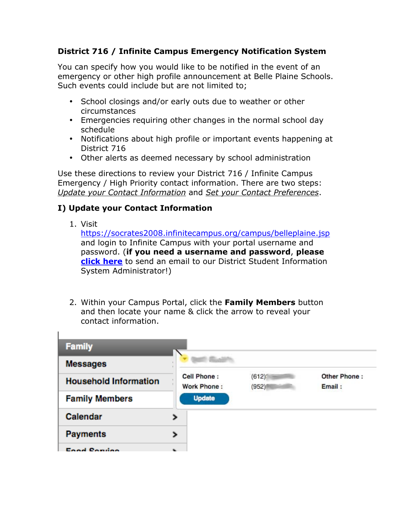### **District 716 / Infinite Campus Emergency Notification System**

You can specify how you would like to be notified in the event of an emergency or other high profile announcement at Belle Plaine Schools. Such events could include but are not limited to;

- School closings and/or early outs due to weather or other circumstances
- Emergencies requiring other changes in the normal school day schedule
- Notifications about high profile or important events happening at District 716
- Other alerts as deemed necessary by school administration

Use these directions to review your District 716 / Infinite Campus Emergency / High Priority contact information. There are two steps: *Update your Contact Information* and *Set your Contact Preferences*.

### **I) Update your Contact Information**

1. Visit

ī.

https://socrates2008.infinitecampus.org/campus/belleplaine.jsp and login to Infinite Campus with your portal username and password. (**if you need a username and password**, **please click here** to send an email to our District Student Information System Administrator!)

2. Within your Campus Portal, click the **Family Members** button and then locate your name & click the arrow to reveal your contact information.

| <b>Family</b>                |                            |                      |                        |
|------------------------------|----------------------------|----------------------|------------------------|
| <b>Messages</b>              |                            |                      |                        |
| <b>Household Information</b> | Cell Phone:<br>Work Phone: | $(612)^{n}$<br>(952) | Other Phone:<br>Email: |
| <b>Family Members</b>        | <b>Update</b>              |                      |                        |
| Calendar                     |                            |                      |                        |
| <b>Payments</b>              |                            |                      |                        |
| Food Contigo                 |                            |                      |                        |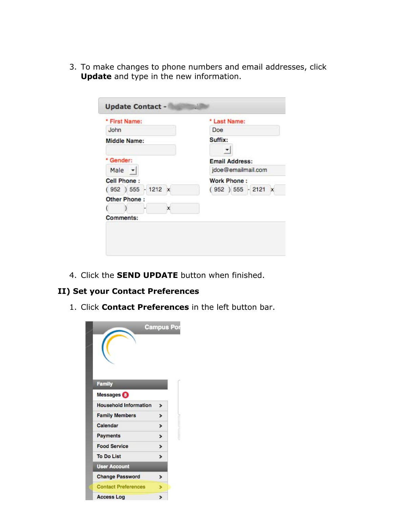3. To make changes to phone numbers and email addresses, click **Update** and type in the new information.

| * First Name:        | * Last Name:          |
|----------------------|-----------------------|
| John                 | Doe                   |
| <b>Middle Name:</b>  | Suffix:               |
| * Gender:            | <b>Email Address:</b> |
| Male $\rightarrow$   | jdoe@emailmail.com    |
| Cell Phone:          | <b>Work Phone:</b>    |
| $(952) 555 - 1212 x$ | $(952) 555 - 2121 x$  |
| Other Phone:         |                       |
|                      |                       |
| Comments:            |                       |

4. Click the **SEND UPDATE** button when finished.

# **II) Set your Contact Preferences**

1. Click **Contact Preferences** in the left button bar.

|                              | <b>Campus Por</b> |
|------------------------------|-------------------|
| <b>Family</b>                |                   |
| Messages <sup>1</sup>        |                   |
| <b>Household Information</b> | $\mathbf{r}$      |
| <b>Family Members</b>        | >                 |
| Calendar                     | >                 |
| <b>Payments</b>              | >                 |
| <b>Food Service</b>          | >                 |
| <b>To Do List</b>            | ⋟                 |
| <b>User Account</b>          |                   |
| <b>Change Password</b>       | ↘                 |
| <b>Contact Preferences</b>   |                   |
| <b>Access Log</b>            | >                 |